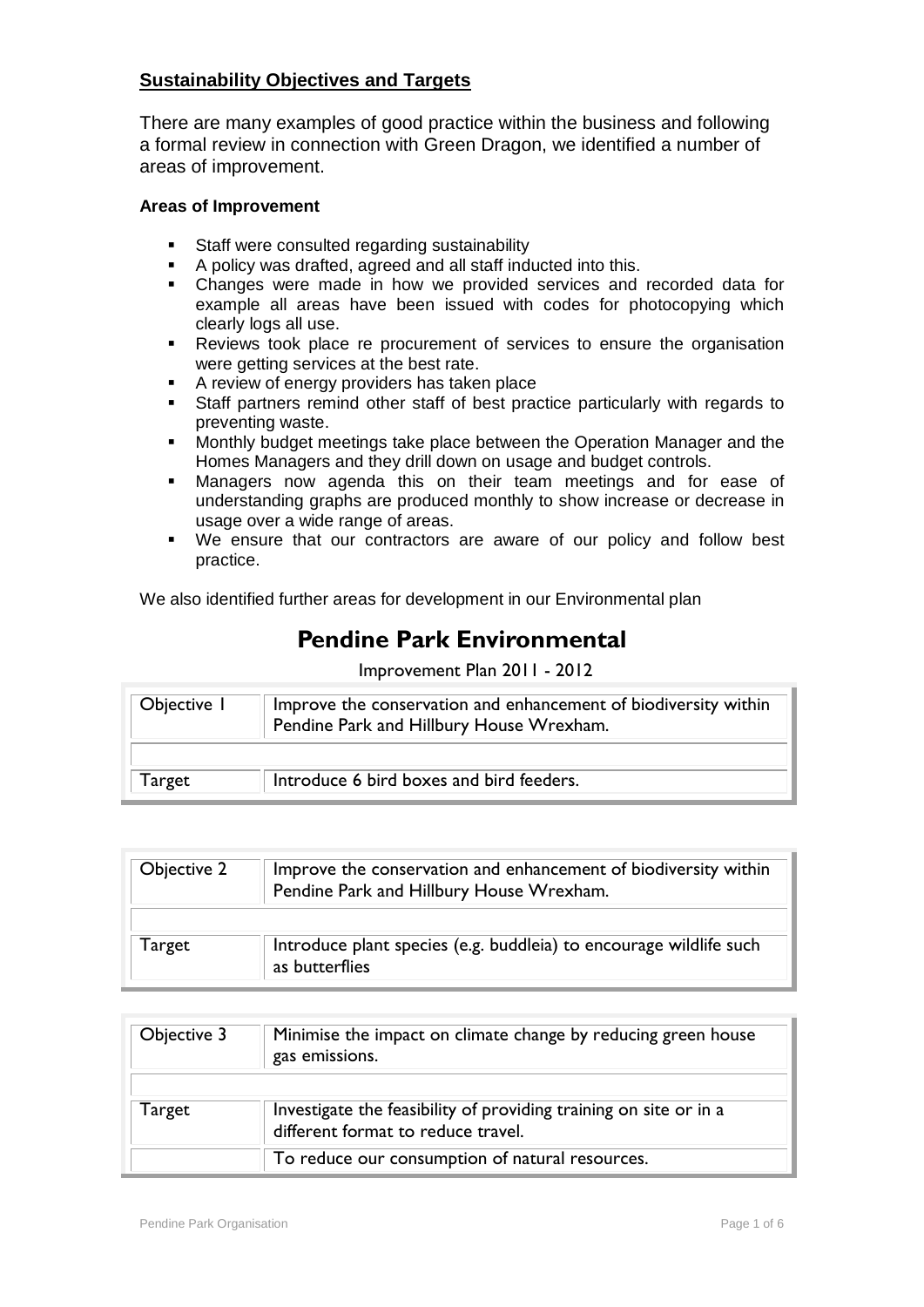## **Sustainability Objectives and Targets**

There are many examples of good practice within the business and following a formal review in connection with Green Dragon, we identified a number of areas of improvement.

## **Areas of Improvement**

- Staff were consulted regarding sustainability
- A policy was drafted, agreed and all staff inducted into this.
- Changes were made in how we provided services and recorded data for example all areas have been issued with codes for photocopying which clearly logs all use.
- Reviews took place re procurement of services to ensure the organisation were getting services at the best rate.
- A review of energy providers has taken place<br>Staff partners remind other staff of best pract
- Staff partners remind other staff of best practice particularly with regards to preventing waste.
- **Monthly budget meetings take place between the Operation Manager and the** Homes Managers and they drill down on usage and budget controls.
- Managers now agenda this on their team meetings and for ease of understanding graphs are produced monthly to show increase or decrease in usage over a wide range of areas.
- We ensure that our contractors are aware of our policy and follow best practice.

We also identified further areas for development in our Environmental plan

## **Pendine Park Environmental**

Improvement Plan 2011 - 2012

| Improve the conservation and enhancement of biodiversity within<br>Objective I<br>Pendine Park and Hillbury House Wrexham. |                                          |
|----------------------------------------------------------------------------------------------------------------------------|------------------------------------------|
| Target                                                                                                                     | Introduce 6 bird boxes and bird feeders. |

| Objective 2 | Improve the conservation and enhancement of biodiversity within<br>Pendine Park and Hillbury House Wrexham. |
|-------------|-------------------------------------------------------------------------------------------------------------|
| Target      | Introduce plant species (e.g. buddleia) to encourage wildlife such<br>as butterflies                        |

| Objective 3 | Minimise the impact on climate change by reducing green house<br>gas emissions.                         |
|-------------|---------------------------------------------------------------------------------------------------------|
| Target      | Investigate the feasibility of providing training on site or in a<br>different format to reduce travel. |
|             | To reduce our consumption of natural resources.                                                         |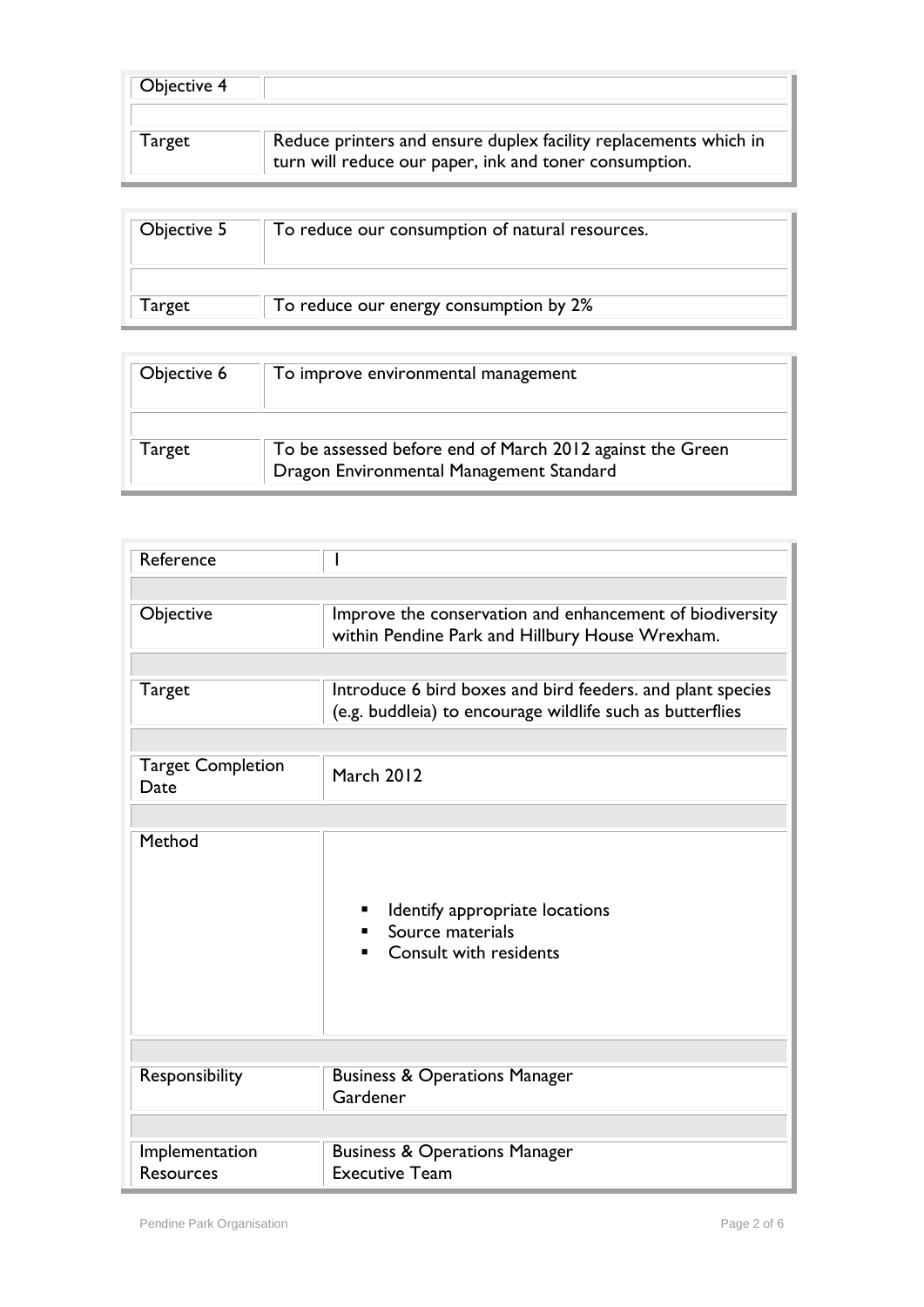| Objective 4 |                                                                                                                            |
|-------------|----------------------------------------------------------------------------------------------------------------------------|
| Target      | Reduce printers and ensure duplex facility replacements which in<br>turn will reduce our paper, ink and toner consumption. |

| Objective 5 | To reduce our consumption of natural resources. |
|-------------|-------------------------------------------------|
| Target      | To reduce our energy consumption by 2%          |

| Objective 6 | To improve environmental management                                                                   |
|-------------|-------------------------------------------------------------------------------------------------------|
| Target      | To be assessed before end of March 2012 against the Green<br>Dragon Environmental Management Standard |

| Reference                          |                                                                                                                         |  |
|------------------------------------|-------------------------------------------------------------------------------------------------------------------------|--|
|                                    |                                                                                                                         |  |
| Objective                          | Improve the conservation and enhancement of biodiversity<br>within Pendine Park and Hillbury House Wrexham.             |  |
|                                    |                                                                                                                         |  |
| Target                             | Introduce 6 bird boxes and bird feeders. and plant species<br>(e.g. buddleia) to encourage wildlife such as butterflies |  |
|                                    |                                                                                                                         |  |
| <b>Target Completion</b><br>Date   | March 2012                                                                                                              |  |
|                                    |                                                                                                                         |  |
| Method                             | Identify appropriate locations<br>Source materials<br>Consult with residents                                            |  |
|                                    |                                                                                                                         |  |
| Responsibility                     | <b>Business &amp; Operations Manager</b><br>Gardener                                                                    |  |
|                                    |                                                                                                                         |  |
| Implementation<br><b>Resources</b> | <b>Business &amp; Operations Manager</b><br><b>Executive Team</b>                                                       |  |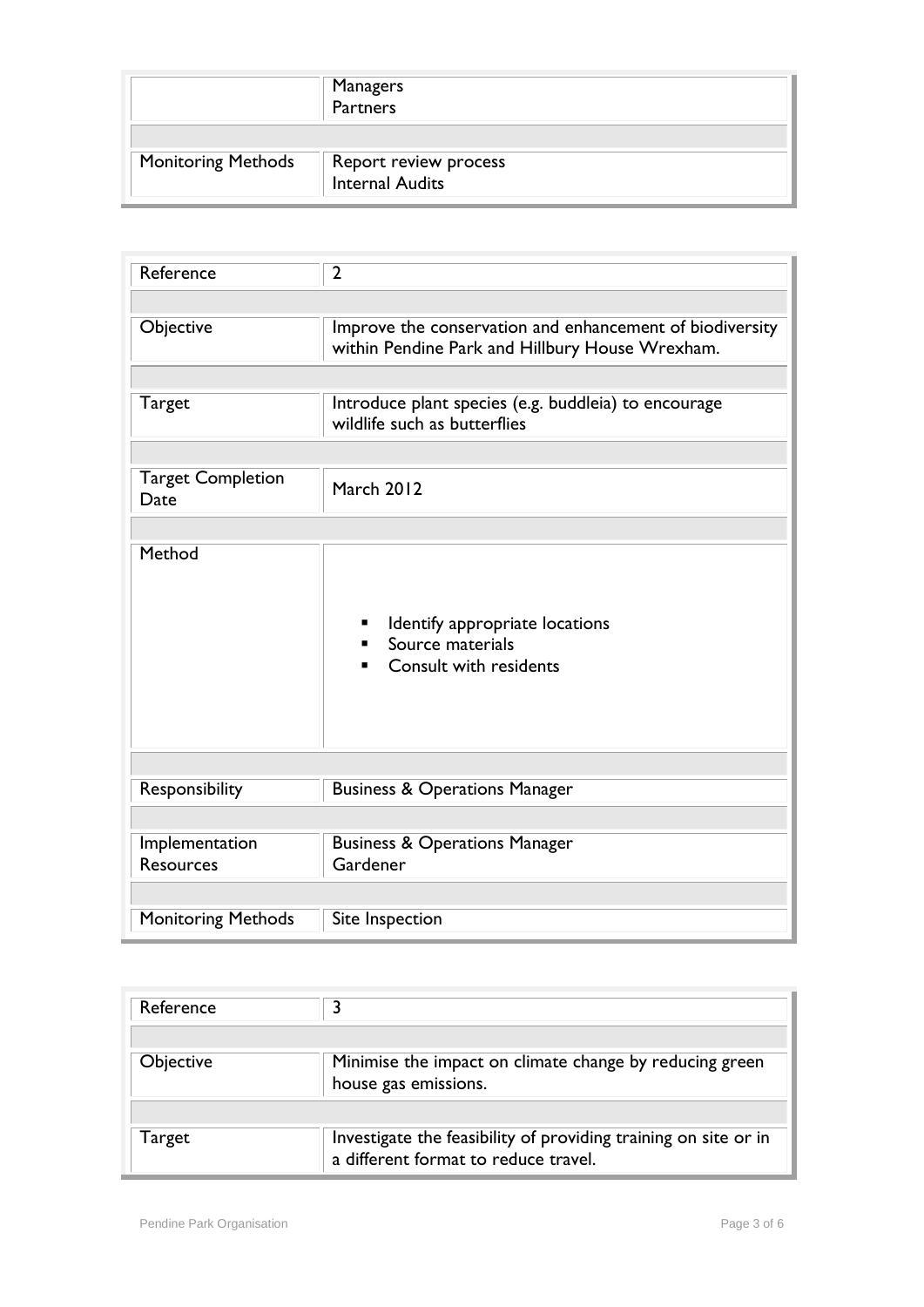|                           | Managers<br>Partners                     |
|---------------------------|------------------------------------------|
| <b>Monitoring Methods</b> | Report review process<br>Internal Audits |

| Reference                          | $\overline{2}$                                                                                              |
|------------------------------------|-------------------------------------------------------------------------------------------------------------|
|                                    |                                                                                                             |
| Objective                          | Improve the conservation and enhancement of biodiversity<br>within Pendine Park and Hillbury House Wrexham. |
|                                    |                                                                                                             |
| Target                             | Introduce plant species (e.g. buddleia) to encourage<br>wildlife such as butterflies                        |
|                                    |                                                                                                             |
| <b>Target Completion</b><br>Date   | <b>March 2012</b>                                                                                           |
|                                    |                                                                                                             |
| Method                             | Identify appropriate locations<br>Source materials<br>Consult with residents                                |
|                                    |                                                                                                             |
| Responsibility                     | <b>Business &amp; Operations Manager</b>                                                                    |
|                                    |                                                                                                             |
| Implementation<br><b>Resources</b> | <b>Business &amp; Operations Manager</b><br>Gardener                                                        |
|                                    |                                                                                                             |
| <b>Monitoring Methods</b>          | Site Inspection                                                                                             |

| Reference        |                                                                                                         |
|------------------|---------------------------------------------------------------------------------------------------------|
| <b>Objective</b> | Minimise the impact on climate change by reducing green<br>house gas emissions.                         |
|                  |                                                                                                         |
| Target           | Investigate the feasibility of providing training on site or in<br>a different format to reduce travel. |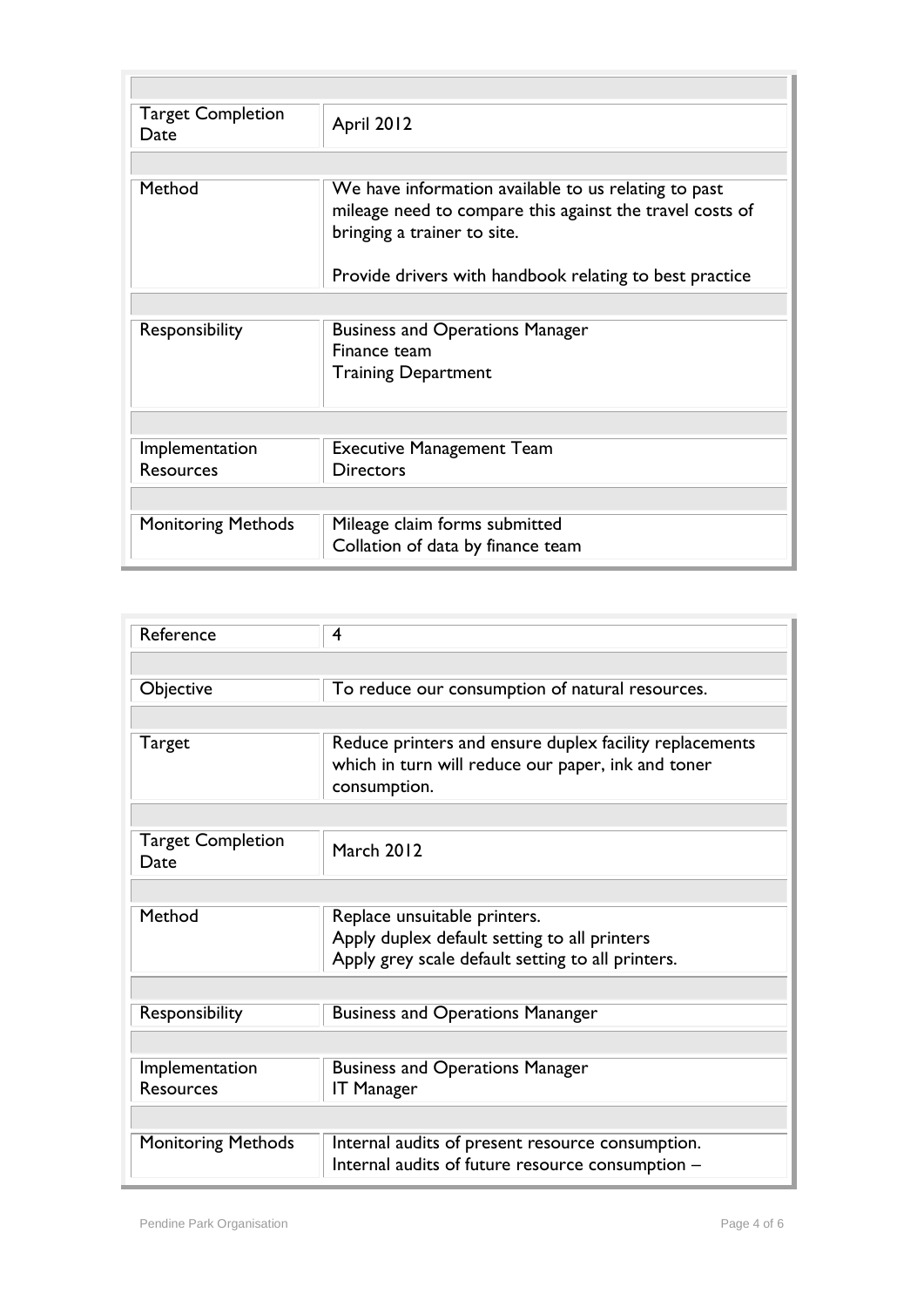| <b>Target Completion</b><br>Date | April 2012                                                                                                                                      |  |
|----------------------------------|-------------------------------------------------------------------------------------------------------------------------------------------------|--|
|                                  |                                                                                                                                                 |  |
| Method                           | We have information available to us relating to past<br>mileage need to compare this against the travel costs of<br>bringing a trainer to site. |  |
|                                  | Provide drivers with handbook relating to best practice                                                                                         |  |
|                                  |                                                                                                                                                 |  |
| Responsibility                   | <b>Business and Operations Manager</b><br>Finance team                                                                                          |  |
|                                  | <b>Training Department</b>                                                                                                                      |  |
|                                  |                                                                                                                                                 |  |
| Implementation                   | <b>Executive Management Team</b>                                                                                                                |  |
| <b>Resources</b>                 | <b>Directors</b>                                                                                                                                |  |
|                                  |                                                                                                                                                 |  |
| <b>Monitoring Methods</b>        | Mileage claim forms submitted<br>Collation of data by finance team                                                                              |  |

| Reference                        | 4                                                                                                                                 |
|----------------------------------|-----------------------------------------------------------------------------------------------------------------------------------|
|                                  |                                                                                                                                   |
| Objective                        | To reduce our consumption of natural resources.                                                                                   |
|                                  |                                                                                                                                   |
| <b>Target</b>                    | Reduce printers and ensure duplex facility replacements<br>which in turn will reduce our paper, ink and toner<br>consumption.     |
|                                  |                                                                                                                                   |
| <b>Target Completion</b><br>Date | March 2012                                                                                                                        |
|                                  |                                                                                                                                   |
| Method                           | Replace unsuitable printers.<br>Apply duplex default setting to all printers<br>Apply grey scale default setting to all printers. |
|                                  |                                                                                                                                   |
| Responsibility                   | <b>Business and Operations Mananger</b>                                                                                           |
|                                  |                                                                                                                                   |
| Implementation<br>Resources      | <b>Business and Operations Manager</b><br><b>IT Manager</b>                                                                       |
|                                  |                                                                                                                                   |
| <b>Monitoring Methods</b>        | Internal audits of present resource consumption.<br>Internal audits of future resource consumption -                              |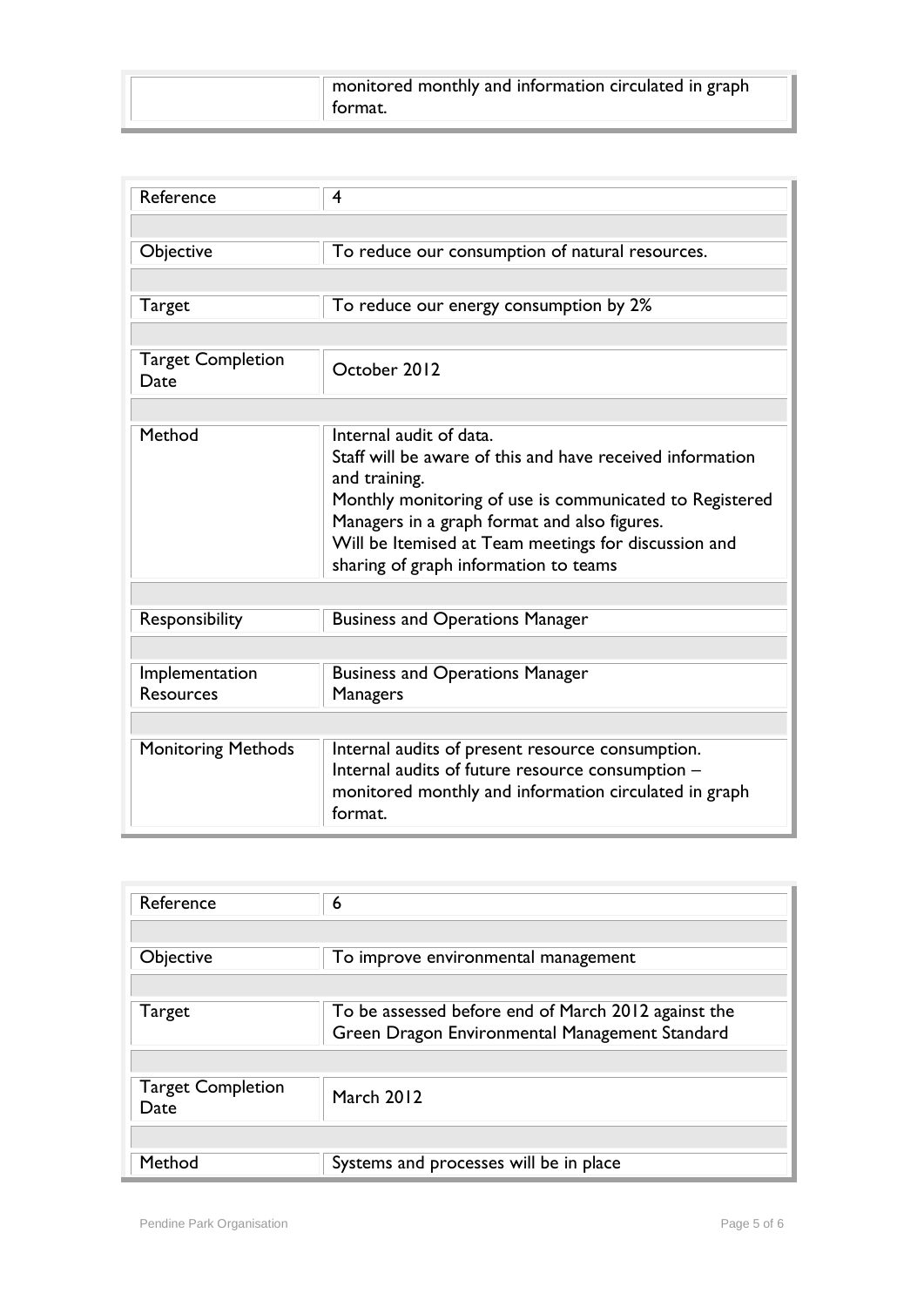| monitored monthly and information circulated in graph |
|-------------------------------------------------------|
| format.                                               |

| Reference                          | 4                                                                                                                                                                                                                                                                                                                 |  |
|------------------------------------|-------------------------------------------------------------------------------------------------------------------------------------------------------------------------------------------------------------------------------------------------------------------------------------------------------------------|--|
|                                    |                                                                                                                                                                                                                                                                                                                   |  |
| Objective                          | To reduce our consumption of natural resources.                                                                                                                                                                                                                                                                   |  |
|                                    |                                                                                                                                                                                                                                                                                                                   |  |
| Target                             | To reduce our energy consumption by 2%                                                                                                                                                                                                                                                                            |  |
|                                    |                                                                                                                                                                                                                                                                                                                   |  |
| <b>Target Completion</b><br>Date   | October 2012                                                                                                                                                                                                                                                                                                      |  |
|                                    |                                                                                                                                                                                                                                                                                                                   |  |
| Method                             | Internal audit of data.<br>Staff will be aware of this and have received information<br>and training.<br>Monthly monitoring of use is communicated to Registered<br>Managers in a graph format and also figures.<br>Will be Itemised at Team meetings for discussion and<br>sharing of graph information to teams |  |
|                                    |                                                                                                                                                                                                                                                                                                                   |  |
| Responsibility                     | <b>Business and Operations Manager</b>                                                                                                                                                                                                                                                                            |  |
|                                    |                                                                                                                                                                                                                                                                                                                   |  |
| Implementation<br><b>Resources</b> | <b>Business and Operations Manager</b><br><b>Managers</b>                                                                                                                                                                                                                                                         |  |
|                                    |                                                                                                                                                                                                                                                                                                                   |  |
| <b>Monitoring Methods</b>          | Internal audits of present resource consumption.<br>Internal audits of future resource consumption -<br>monitored monthly and information circulated in graph<br>format.                                                                                                                                          |  |

| Reference                        | 6                                                   |
|----------------------------------|-----------------------------------------------------|
|                                  |                                                     |
| Objective                        | To improve environmental management                 |
|                                  |                                                     |
| Target                           | To be assessed before end of March 2012 against the |
|                                  | Green Dragon Environmental Management Standard      |
|                                  |                                                     |
| <b>Target Completion</b><br>Date | March 2012                                          |
|                                  |                                                     |
| Method                           | Systems and processes will be in place              |

Ī